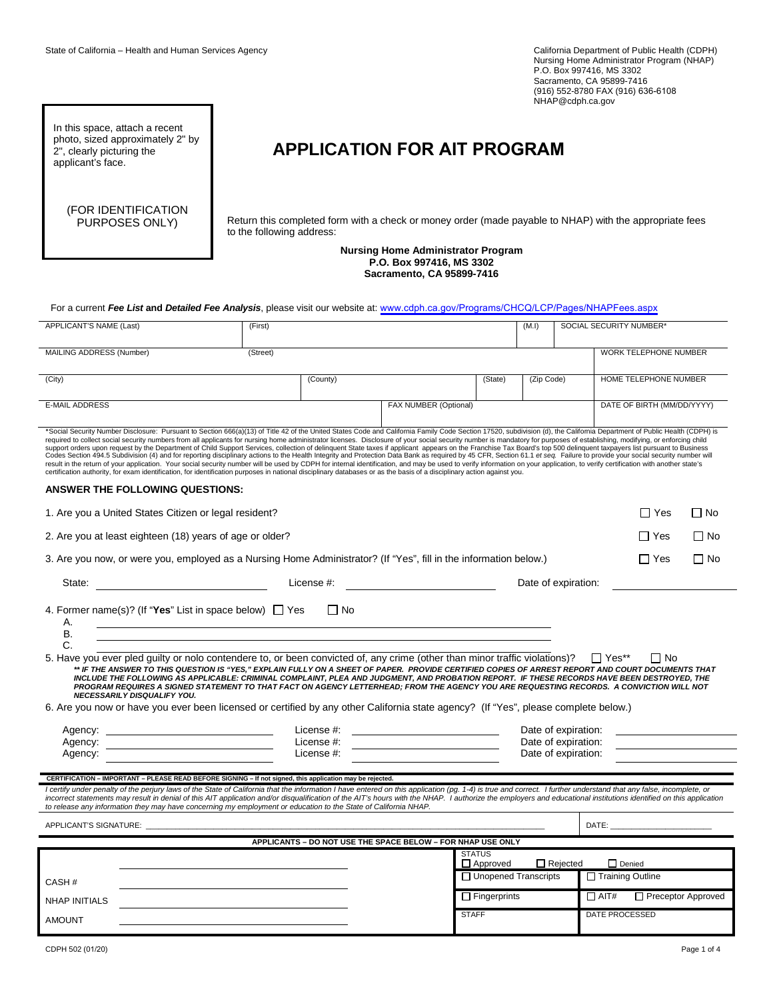Nursing Home Administrator Program (NHAP) P.O. Box 997416, MS 3302 Sacramento, CA 95899-7416 (916) 552-8780 FAX (916) 636-6108 NHAP@cdph.ca.gov

In this space, attach a recent photo, sized approximately 2" by 2", clearly picturing the applicant's face.

## **APPLICATION FOR AIT PROGRAM**

## (FOR IDENTIFICATION<br>PURPOSES ONLY)

Return this completed form with a check or money order (made payable to NHAP) with the appropriate fees to the following address:

> **Nursing Home Administrator Program P.O. Box 997416, MS 3302 Sacramento, CA 95899-7416**

For a current *Fee List* **and** *Detailed Fee Analysis*, please visit our website at: [www.cdph.ca.gov/Programs/CHCQ/LCP/Pages/NHAPFees.aspx](http://www.cdph.ca.gov/certlic/occupations/Pages/NursingHomeAdministrator.aspx)

| APPLICANT'S NAME (Last)                                                                                                                                                                                                                                                                                                                                                                                                                                                                                                                                                                                                                                                                                                                                                                                                                                                                                                                                                                                                                                                                                                                                                                                                                                                                                                                                                | (First)  |                                                             |                       |                                                | (M.1)               |                 | SOCIAL SECURITY NUMBER*                                           |                              |           |
|------------------------------------------------------------------------------------------------------------------------------------------------------------------------------------------------------------------------------------------------------------------------------------------------------------------------------------------------------------------------------------------------------------------------------------------------------------------------------------------------------------------------------------------------------------------------------------------------------------------------------------------------------------------------------------------------------------------------------------------------------------------------------------------------------------------------------------------------------------------------------------------------------------------------------------------------------------------------------------------------------------------------------------------------------------------------------------------------------------------------------------------------------------------------------------------------------------------------------------------------------------------------------------------------------------------------------------------------------------------------|----------|-------------------------------------------------------------|-----------------------|------------------------------------------------|---------------------|-----------------|-------------------------------------------------------------------|------------------------------|-----------|
|                                                                                                                                                                                                                                                                                                                                                                                                                                                                                                                                                                                                                                                                                                                                                                                                                                                                                                                                                                                                                                                                                                                                                                                                                                                                                                                                                                        |          |                                                             |                       |                                                |                     |                 |                                                                   |                              |           |
| MAILING ADDRESS (Number)                                                                                                                                                                                                                                                                                                                                                                                                                                                                                                                                                                                                                                                                                                                                                                                                                                                                                                                                                                                                                                                                                                                                                                                                                                                                                                                                               | (Street) |                                                             |                       |                                                |                     |                 |                                                                   | <b>WORK TELEPHONE NUMBER</b> |           |
| (City)                                                                                                                                                                                                                                                                                                                                                                                                                                                                                                                                                                                                                                                                                                                                                                                                                                                                                                                                                                                                                                                                                                                                                                                                                                                                                                                                                                 |          | (County)                                                    |                       | HOME TELEPHONE NUMBER<br>(State)<br>(Zip Code) |                     |                 |                                                                   |                              |           |
| <b>E-MAIL ADDRESS</b>                                                                                                                                                                                                                                                                                                                                                                                                                                                                                                                                                                                                                                                                                                                                                                                                                                                                                                                                                                                                                                                                                                                                                                                                                                                                                                                                                  |          |                                                             | FAX NUMBER (Optional) |                                                |                     |                 |                                                                   | DATE OF BIRTH (MM/DD/YYYY)   |           |
| *Social Security Number Disclosure: Pursuant to Section 666(a)(13) of Title 42 of the United States Code and California Family Code Section 17520, subdivision (d), the California Department of Public Health (CDPH) is<br>required to collect social security numbers from all applicants for nursing home administrator licenses. Disclosure of your social security number is mandatory for purposes of establishing, modifying, or enforcing child<br>support orders upon request by the Department of Child Support Services, collection of delinquent State taxes if applicant appears on the Franchise Tax Board's top 500 delinquent taxpayers list pursuant to Business<br>Codes Section 494.5 Subdivision (4) and for reporting disciplinary actions to the Health Integrity and Protection Data Bank as required by 45 CFR, Section 61.1 et seq. Failure to provide your social security number will<br>result in the return of your application. Your social security number will be used by CDPH for internal identification, and may be used to verify information on your application, to verify certification with another state'<br>certification authority, for exam identification, for identification purposes in national disciplinary databases or as the basis of a disciplinary action against you.<br><b>ANSWER THE FOLLOWING QUESTIONS:</b> |          |                                                             |                       |                                                |                     |                 |                                                                   |                              |           |
|                                                                                                                                                                                                                                                                                                                                                                                                                                                                                                                                                                                                                                                                                                                                                                                                                                                                                                                                                                                                                                                                                                                                                                                                                                                                                                                                                                        |          |                                                             |                       |                                                |                     |                 |                                                                   |                              |           |
| 1. Are you a United States Citizen or legal resident?                                                                                                                                                                                                                                                                                                                                                                                                                                                                                                                                                                                                                                                                                                                                                                                                                                                                                                                                                                                                                                                                                                                                                                                                                                                                                                                  |          |                                                             |                       |                                                |                     |                 |                                                                   | $\Box$ Yes                   | $\Box$ No |
| 2. Are you at least eighteen (18) years of age or older?                                                                                                                                                                                                                                                                                                                                                                                                                                                                                                                                                                                                                                                                                                                                                                                                                                                                                                                                                                                                                                                                                                                                                                                                                                                                                                               |          |                                                             |                       |                                                |                     |                 |                                                                   | $\Box$ Yes                   | ∏ No      |
| 3. Are you now, or were you, employed as a Nursing Home Administrator? (If "Yes", fill in the information below.)                                                                                                                                                                                                                                                                                                                                                                                                                                                                                                                                                                                                                                                                                                                                                                                                                                                                                                                                                                                                                                                                                                                                                                                                                                                      |          |                                                             |                       |                                                |                     |                 |                                                                   | $\Box$ Yes                   | $\Box$ No |
| State: <u>and the state of the state of</u> the state of the state of the state of the state of the state of the state of the state of the state of the state of the state of the state of the state of the state of the state of t                                                                                                                                                                                                                                                                                                                                                                                                                                                                                                                                                                                                                                                                                                                                                                                                                                                                                                                                                                                                                                                                                                                                    |          | License #: <u>___________________________</u> _             |                       |                                                | Date of expiration: |                 |                                                                   |                              |           |
| 4. Former name(s)? (If "Yes" List in space below) $\Box$ Yes<br>А.<br>Β.<br>C.<br>5. Have you ever pled guilty or nolo contendere to, or been convicted of, any crime (other than minor traffic violations)? $\Box$ Yes**<br>** IF THE ANSWER TO THIS QUESTION IS "YES," EXPLAIN FULLY ON A SHEET OF PAPER. PROVIDE CERTIFIED COPIES OF ARREST REPORT AND COURT DOCUMENTS THAT<br>INCLUDE THE FOLLOWING AS APPLICABLE: CRIMINAL COMPLAINT, PLEA AND JUDGMENT, AND PROBATION REPORT. IF THESE RECORDS HAVE BEEN DESTROYED, THE<br>PROGRAM REQUIRES A SIGNED STATEMENT TO THAT FACT ON AGENCY LETTERHEAD; FROM THE AGENCY YOU ARE REQUESTING RECORDS. A CONVICTION WILL NOT<br><b>NECESSARILY DISQUALIFY YOU.</b>                                                                                                                                                                                                                                                                                                                                                                                                                                                                                                                                                                                                                                                        |          | $\Box$ No                                                   |                       |                                                |                     |                 |                                                                   | $\Box$ No                    |           |
| 6. Are you now or have you ever been licensed or certified by any other California state agency? (If "Yes", please complete below.)                                                                                                                                                                                                                                                                                                                                                                                                                                                                                                                                                                                                                                                                                                                                                                                                                                                                                                                                                                                                                                                                                                                                                                                                                                    |          |                                                             |                       |                                                |                     |                 |                                                                   |                              |           |
| Agency:<br>Agency:                                                                                                                                                                                                                                                                                                                                                                                                                                                                                                                                                                                                                                                                                                                                                                                                                                                                                                                                                                                                                                                                                                                                                                                                                                                                                                                                                     |          | License #:<br>License #:<br>License #:                      |                       |                                                |                     |                 | Date of expiration:<br>Date of expiration:<br>Date of expiration: |                              |           |
| CERTIFICATION - IMPORTANT - PLEASE READ BEFORE SIGNING - If not signed, this application may be rejected.<br>I certify under penalty of the perjury laws of the State of California that the information I have entered on this application (pg. 1-4) is true and correct. I further understand that any false, incomplete, or<br>incorrect statements may result in denial of this AIT application and/or disqualification of the AIT's hours with the NHAP. I authorize the employers and educational institutions identified on this application<br>to release any information they may have concerning my employment or education to the State of California NHAP.                                                                                                                                                                                                                                                                                                                                                                                                                                                                                                                                                                                                                                                                                                 |          |                                                             |                       |                                                |                     |                 |                                                                   |                              |           |
| APPLICANT'S SIGNATURE: _________                                                                                                                                                                                                                                                                                                                                                                                                                                                                                                                                                                                                                                                                                                                                                                                                                                                                                                                                                                                                                                                                                                                                                                                                                                                                                                                                       |          |                                                             |                       |                                                |                     |                 |                                                                   |                              |           |
|                                                                                                                                                                                                                                                                                                                                                                                                                                                                                                                                                                                                                                                                                                                                                                                                                                                                                                                                                                                                                                                                                                                                                                                                                                                                                                                                                                        |          | APPLICANTS - DO NOT USE THE SPACE BELOW - FOR NHAP USE ONLY |                       |                                                |                     |                 |                                                                   |                              |           |
|                                                                                                                                                                                                                                                                                                                                                                                                                                                                                                                                                                                                                                                                                                                                                                                                                                                                                                                                                                                                                                                                                                                                                                                                                                                                                                                                                                        |          |                                                             |                       | <b>STATUS</b><br>$\Box$ Approved               |                     | $\Box$ Rejected | $\Box$ Denied                                                     |                              |           |
| CASH#                                                                                                                                                                                                                                                                                                                                                                                                                                                                                                                                                                                                                                                                                                                                                                                                                                                                                                                                                                                                                                                                                                                                                                                                                                                                                                                                                                  |          |                                                             |                       | □ Unopened Transcripts                         |                     |                 | $\Box$ Training Outline                                           |                              |           |
| <b>NHAP INITIALS</b>                                                                                                                                                                                                                                                                                                                                                                                                                                                                                                                                                                                                                                                                                                                                                                                                                                                                                                                                                                                                                                                                                                                                                                                                                                                                                                                                                   |          |                                                             |                       | $\Box$ Fingerprints                            |                     |                 | $\Box$ AIT#                                                       | Preceptor Approved           |           |
| <b>AMOUNT</b>                                                                                                                                                                                                                                                                                                                                                                                                                                                                                                                                                                                                                                                                                                                                                                                                                                                                                                                                                                                                                                                                                                                                                                                                                                                                                                                                                          |          |                                                             |                       | <b>STAFF</b>                                   |                     |                 | DATE PROCESSED                                                    |                              |           |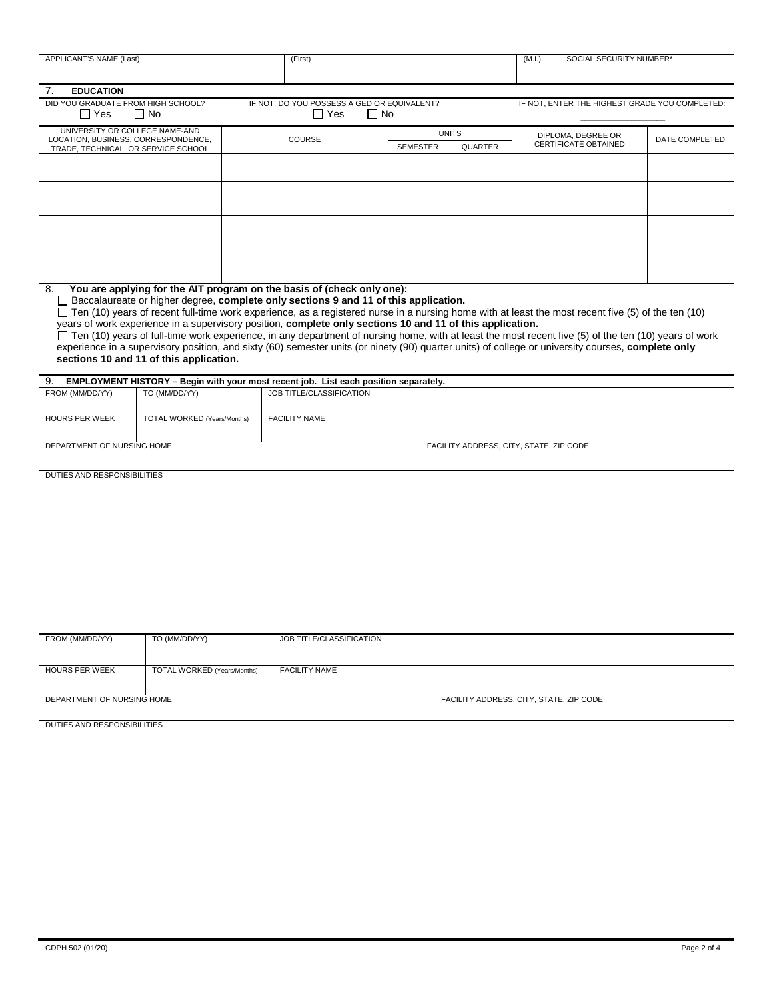| APPLICANT'S NAME (Last) | (First) | (M.I.) | SOCIAL SECURITY NUMBER* |
|-------------------------|---------|--------|-------------------------|
|                         |         |        |                         |

| <b>EDUCATION</b>                                                                                             |                                                                                                                                                                |                                                   |                                                |                                                   |                |
|--------------------------------------------------------------------------------------------------------------|----------------------------------------------------------------------------------------------------------------------------------------------------------------|---------------------------------------------------|------------------------------------------------|---------------------------------------------------|----------------|
| DID YOU GRADUATE FROM HIGH SCHOOL?<br>∏ Yes<br>$\Box$ No                                                     | IF NOT, DO YOU POSSESS A GED OR EQUIVALENT?<br>∩ Yes<br>$\Box$ No                                                                                              |                                                   | IF NOT, ENTER THE HIGHEST GRADE YOU COMPLETED: |                                                   |                |
| UNIVERSITY OR COLLEGE NAME-AND<br>LOCATION, BUSINESS, CORRESPONDENCE,<br>TRADE, TECHNICAL, OR SERVICE SCHOOL | <b>COURSE</b>                                                                                                                                                  | <b>UNITS</b><br><b>QUARTER</b><br><b>SEMESTER</b> |                                                | DIPLOMA, DEGREE OR<br><b>CERTIFICATE OBTAINED</b> | DATE COMPLETED |
|                                                                                                              |                                                                                                                                                                |                                                   |                                                |                                                   |                |
|                                                                                                              |                                                                                                                                                                |                                                   |                                                |                                                   |                |
|                                                                                                              |                                                                                                                                                                |                                                   |                                                |                                                   |                |
|                                                                                                              |                                                                                                                                                                |                                                   |                                                |                                                   |                |
| 8.                                                                                                           | You are applying for the AIT program on the basis of (check only one):<br>Baccalaureate or higher degree, complete only sections 9 and 11 of this application. |                                                   |                                                |                                                   |                |

Ten (10) years of recent full-time work experience, as a registered nurse in a nursing home with at least the most recent five (5) of the ten (10) years of work experience in a supervisory position, **complete only sections 10 and 11 of this application.**

Ten (10) years of full-time work experience, in any department of nursing home, with at least the most recent five (5) of the ten (10) years of work experience in a supervisory position, and sixty (60) semester units (or ninety (90) quarter units) of college or university courses, **complete only sections 10 and 11 of this application.**

| EMPLOYMENT HISTORY – Begin with your most recent job. List each position separately.<br>9. |                                    |                                         |  |  |  |  |
|--------------------------------------------------------------------------------------------|------------------------------------|-----------------------------------------|--|--|--|--|
| FROM (MM/DD/YY)                                                                            | TO (MM/DD/YY)                      | JOB TITLE/CLASSIFICATION                |  |  |  |  |
|                                                                                            |                                    |                                         |  |  |  |  |
| <b>HOURS PER WEEK</b>                                                                      | <b>TOTAL WORKED (Years/Months)</b> | <b>FACILITY NAME</b>                    |  |  |  |  |
|                                                                                            |                                    |                                         |  |  |  |  |
| DEPARTMENT OF NURSING HOME                                                                 |                                    | FACILITY ADDRESS, CITY, STATE, ZIP CODE |  |  |  |  |
|                                                                                            |                                    |                                         |  |  |  |  |

DUTIES AND RESPONSIBILITIES

| TO (MM/DD/YY)              | JOB TITLE/CLASSIFICATION    |                                         |  |
|----------------------------|-----------------------------|-----------------------------------------|--|
|                            |                             |                                         |  |
|                            |                             |                                         |  |
|                            |                             |                                         |  |
|                            |                             |                                         |  |
| DEPARTMENT OF NURSING HOME |                             | FACILITY ADDRESS, CITY, STATE, ZIP CODE |  |
|                            |                             |                                         |  |
|                            | TOTAL WORKED (Years/Months) | <b>FACILITY NAME</b>                    |  |

DUTIES AND RESPONSIBILITIES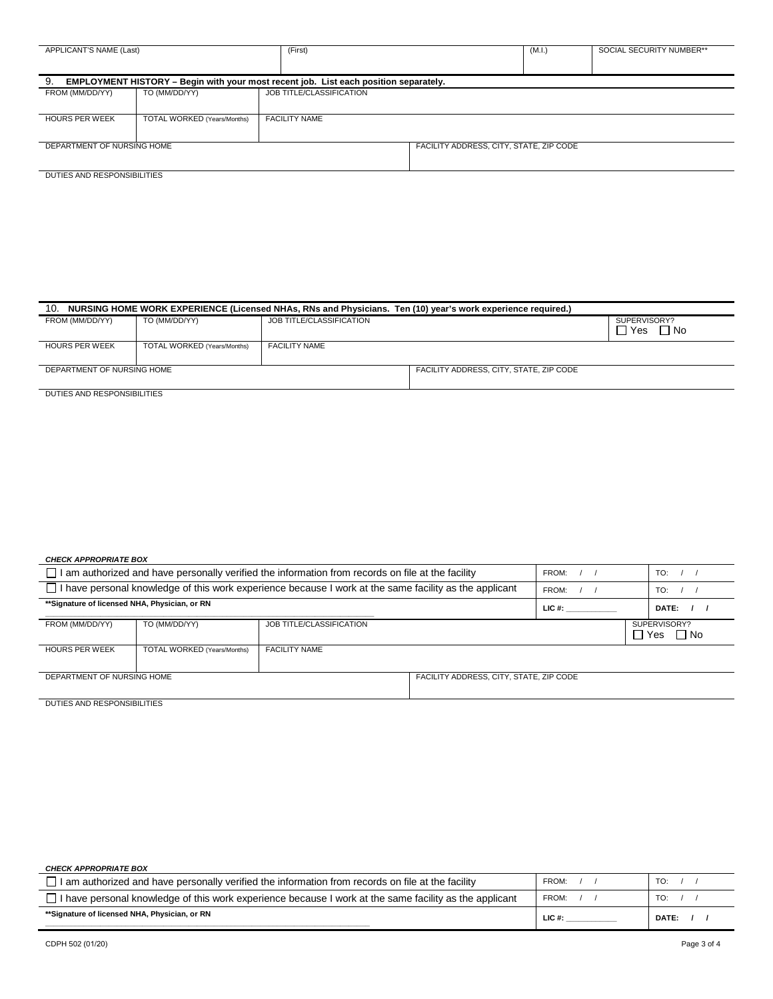| APPLICANT'S NAME (Last)                                                                    |                             | (First)                  | (M.I.)<br>SOCIAL SECURITY NUMBER**      |  |  |  |
|--------------------------------------------------------------------------------------------|-----------------------------|--------------------------|-----------------------------------------|--|--|--|
|                                                                                            |                             |                          |                                         |  |  |  |
| EMPLOYMENT HISTORY - Begin with your most recent job. List each position separately.<br>9. |                             |                          |                                         |  |  |  |
| FROM (MM/DD/YY)                                                                            | TO (MM/DD/YY)               | JOB TITLE/CLASSIFICATION |                                         |  |  |  |
|                                                                                            |                             |                          |                                         |  |  |  |
| <b>HOURS PER WEEK</b>                                                                      | TOTAL WORKED (Years/Months) | <b>FACILITY NAME</b>     |                                         |  |  |  |
|                                                                                            |                             |                          |                                         |  |  |  |
| DEPARTMENT OF NURSING HOME                                                                 |                             |                          | FACILITY ADDRESS, CITY, STATE, ZIP CODE |  |  |  |
|                                                                                            |                             |                          |                                         |  |  |  |
|                                                                                            |                             |                          |                                         |  |  |  |

**DUTIES AND RESPONSIBILITIES** 

| 10.                        |                                    |                          | NURSING HOME WORK EXPERIENCE (Licensed NHAs, RNs and Physicians, Ten (10) year's work experience required.) |                                  |
|----------------------------|------------------------------------|--------------------------|-------------------------------------------------------------------------------------------------------------|----------------------------------|
| FROM (MM/DD/YY)            | TO (MM/DD/YY)                      | JOB TITLE/CLASSIFICATION |                                                                                                             | SUPERVISORY?<br>$\Box$ No<br>Yes |
| <b>HOURS PER WEEK</b>      | <b>TOTAL WORKED (Years/Months)</b> | <b>FACILITY NAME</b>     |                                                                                                             |                                  |
| DEPARTMENT OF NURSING HOME |                                    |                          | FACILITY ADDRESS, CITY, STATE, ZIP CODE                                                                     |                                  |

DUTIES AND RESPONSIBILITIES

| <b>CHECK APPROPRIATE BOX</b>                                                                                  |                                    |                                         |                   |           |  |                                         |  |  |  |
|---------------------------------------------------------------------------------------------------------------|------------------------------------|-----------------------------------------|-------------------|-----------|--|-----------------------------------------|--|--|--|
| I am authorized and have personally verified the information from records on file at the facility             | FROM:<br>$\sqrt{1}$                |                                         | TO:<br>$\sqrt{2}$ |           |  |                                         |  |  |  |
| $\Box$ I have personal knowledge of this work experience because I work at the same facility as the applicant | FROM:                              |                                         | TO:               |           |  |                                         |  |  |  |
| **Signature of licensed NHA, Physician, or RN                                                                 |                                    | $LIC \#$ :                              |                   | DATE: / / |  |                                         |  |  |  |
| FROM (MM/DD/YY)                                                                                               | TO (MM/DD/YY)                      | JOB TITLE/CLASSIFICATION                |                   |           |  | SUPERVISORY?<br>$\Box$ Yes<br>$\Box$ No |  |  |  |
| <b>HOURS PER WEEK</b>                                                                                         | <b>TOTAL WORKED (Years/Months)</b> | <b>FACILITY NAME</b>                    |                   |           |  |                                         |  |  |  |
| DEPARTMENT OF NURSING HOME                                                                                    |                                    | FACILITY ADDRESS, CITY, STATE, ZIP CODE |                   |           |  |                                         |  |  |  |

DUTIES AND RESPONSIBILITIES

| <b>CHECK APPROPRIATE BOX</b>                                                                                  |          |              |
|---------------------------------------------------------------------------------------------------------------|----------|--------------|
| $\Box$ I am authorized and have personally verified the information from records on file at the facility      | FROM:    | TO:          |
| $\Box$ I have personal knowledge of this work experience because I work at the same facility as the applicant | FROM:    | TO:          |
| **Signature of licensed NHA, Physician, or RN                                                                 | $LIC$ #: | <b>DATE:</b> |